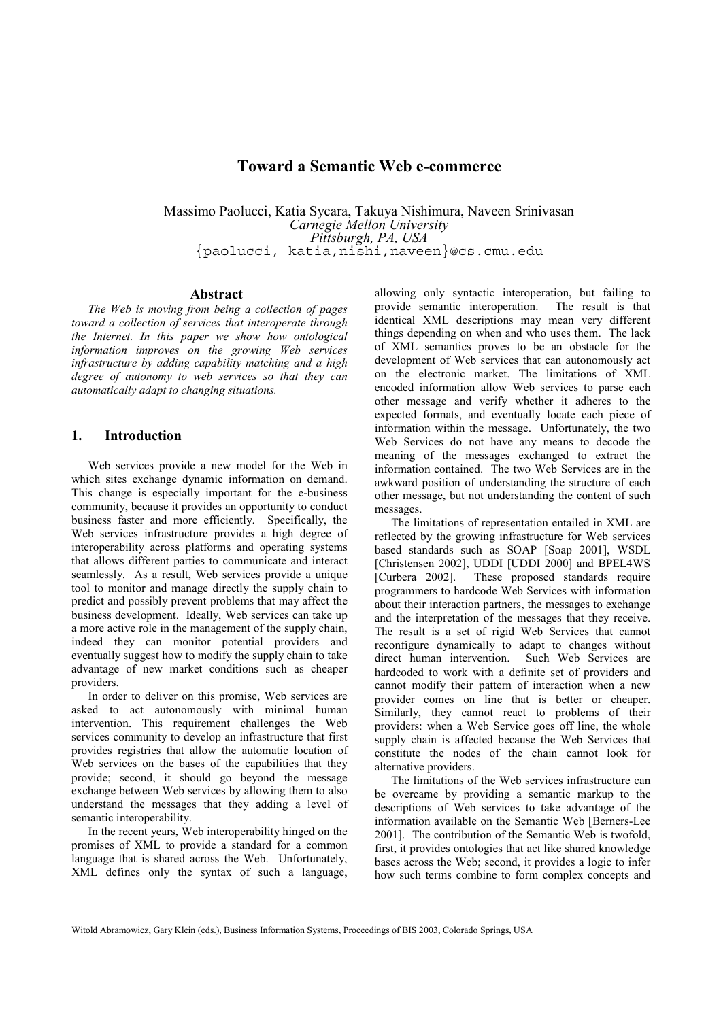# **Toward a Semantic Web e-commerce**

Massimo Paolucci, Katia Sycara, Takuya Nishimura, Naveen Srinivasan *Carnegie Mellon University Pittsburgh, PA, USA {paolucci, katia,nishi,naveen}@cs.cmu.edu*

#### **Abstract**

*The Web is moving from being a collection of pages toward a collection of services that interoperate through the Internet. In this paper we show how ontological information improves on the growing Web services infrastructure by adding capability matching and a high degree of autonomy to web services so that they can automatically adapt to changing situations.* 

## **1. Introduction**

Web services provide a new model for the Web in which sites exchange dynamic information on demand. This change is especially important for the e-business community, because it provides an opportunity to conduct business faster and more efficiently. Specifically, the Web services infrastructure provides a high degree of interoperability across platforms and operating systems that allows different parties to communicate and interact seamlessly. As a result, Web services provide a unique tool to monitor and manage directly the supply chain to predict and possibly prevent problems that may affect the business development. Ideally, Web services can take up a more active role in the management of the supply chain, indeed they can monitor potential providers and eventually suggest how to modify the supply chain to take advantage of new market conditions such as cheaper providers.

In order to deliver on this promise, Web services are asked to act autonomously with minimal human intervention. This requirement challenges the Web services community to develop an infrastructure that first provides registries that allow the automatic location of Web services on the bases of the capabilities that they provide; second, it should go beyond the message exchange between Web services by allowing them to also understand the messages that they adding a level of semantic interoperability.

In the recent years, Web interoperability hinged on the promises of XML to provide a standard for a common language that is shared across the Web. Unfortunately, XML defines only the syntax of such a language,

allowing only syntactic interoperation, but failing to provide semantic interoperation. The result is that identical XML descriptions may mean very different things depending on when and who uses them. The lack of XML semantics proves to be an obstacle for the development of Web services that can autonomously act on the electronic market. The limitations of XML encoded information allow Web services to parse each other message and verify whether it adheres to the expected formats, and eventually locate each piece of information within the message. Unfortunately, the two Web Services do not have any means to decode the meaning of the messages exchanged to extract the information contained. The two Web Services are in the awkward position of understanding the structure of each other message, but not understanding the content of such messages.

The limitations of representation entailed in XML are reflected by the growing infrastructure for Web services based standards such as SOAP [Soap 2001], WSDL [Christensen 2002], UDDI [UDDI 2000] and BPEL4WS [Curbera 2002]. These proposed standards require programmers to hardcode Web Services with information about their interaction partners, the messages to exchange and the interpretation of the messages that they receive. The result is a set of rigid Web Services that cannot reconfigure dynamically to adapt to changes without direct human intervention. Such Web Services are hardcoded to work with a definite set of providers and cannot modify their pattern of interaction when a new provider comes on line that is better or cheaper. Similarly, they cannot react to problems of their providers: when a Web Service goes off line, the whole supply chain is affected because the Web Services that constitute the nodes of the chain cannot look for alternative providers.

The limitations of the Web services infrastructure can be overcame by providing a semantic markup to the descriptions of Web services to take advantage of the information available on the Semantic Web [Berners-Lee 2001]. The contribution of the Semantic Web is twofold, first, it provides ontologies that act like shared knowledge bases across the Web; second, it provides a logic to infer how such terms combine to form complex concepts and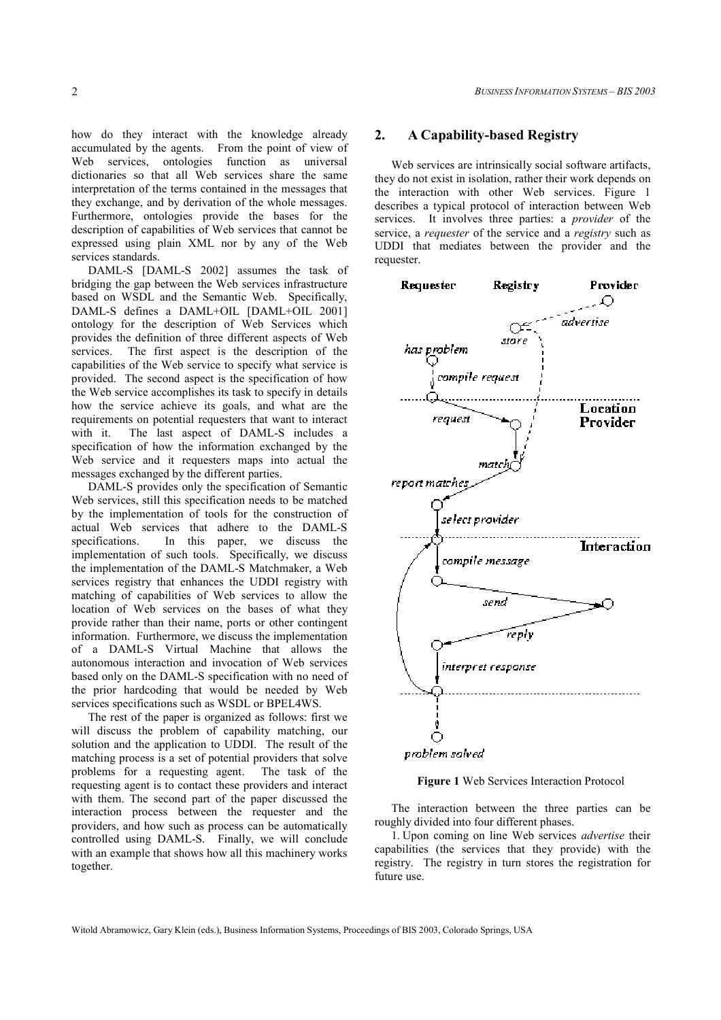how do they interact with the knowledge already accumulated by the agents. From the point of view of Web services, ontologies function as universal dictionaries so that all Web services share the same interpretation of the terms contained in the messages that they exchange, and by derivation of the whole messages. Furthermore, ontologies provide the bases for the description of capabilities of Web services that cannot be expressed using plain XML nor by any of the Web services standards.

DAML-S [DAML-S 2002] assumes the task of bridging the gap between the Web services infrastructure based on WSDL and the Semantic Web. Specifically, DAML-S defines a DAML+OIL [DAML+OIL 2001] ontology for the description of Web Services which provides the definition of three different aspects of Web services. The first aspect is the description of the capabilities of the Web service to specify what service is provided. The second aspect is the specification of how the Web service accomplishes its task to specify in details how the service achieve its goals, and what are the requirements on potential requesters that want to interact with it. The last aspect of DAML-S includes a specification of how the information exchanged by the Web service and it requesters maps into actual the messages exchanged by the different parties.

DAML-S provides only the specification of Semantic Web services, still this specification needs to be matched by the implementation of tools for the construction of actual Web services that adhere to the DAML-S specifications. In this paper, we discuss the implementation of such tools. Specifically, we discuss the implementation of the DAML-S Matchmaker, a Web services registry that enhances the UDDI registry with matching of capabilities of Web services to allow the location of Web services on the bases of what they provide rather than their name, ports or other contingent information. Furthermore, we discuss the implementation of a DAML-S Virtual Machine that allows the autonomous interaction and invocation of Web services based only on the DAML-S specification with no need of the prior hardcoding that would be needed by Web services specifications such as WSDL or BPEL4WS.

The rest of the paper is organized as follows: first we will discuss the problem of capability matching, our solution and the application to UDDI. The result of the matching process is a set of potential providers that solve problems for a requesting agent. The task of the requesting agent is to contact these providers and interact with them. The second part of the paper discussed the interaction process between the requester and the providers, and how such as process can be automatically controlled using DAML-S. Finally, we will conclude with an example that shows how all this machinery works together.

#### **2. A Capability-based Registry**

Web services are intrinsically social software artifacts, they do not exist in isolation, rather their work depends on the interaction with other Web services. Figure 1 describes a typical protocol of interaction between Web services. It involves three parties: a *provider* of the service, a *requester* of the service and a *registry* such as UDDI that mediates between the provider and the requester.



**Figure 1** Web Services Interaction Protocol

The interaction between the three parties can be roughly divided into four different phases.

1. Upon coming on line Web services *advertise* their capabilities (the services that they provide) with the registry. The registry in turn stores the registration for future use.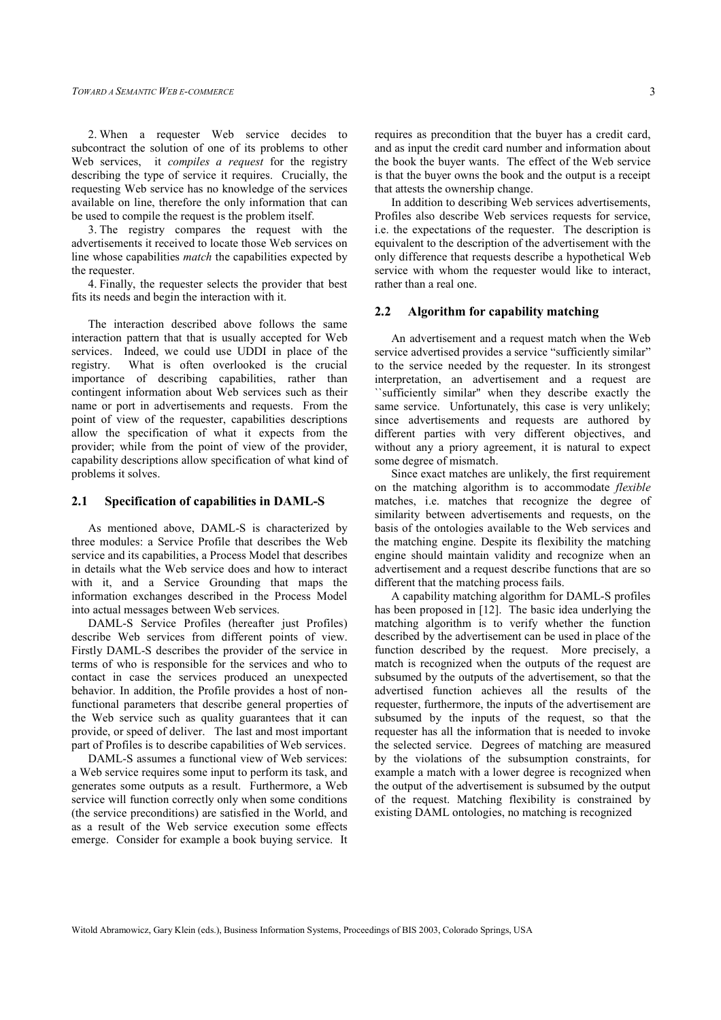2. When a requester Web service decides to subcontract the solution of one of its problems to other Web services, it *compiles a request* for the registry describing the type of service it requires. Crucially, the requesting Web service has no knowledge of the services available on line, therefore the only information that can be used to compile the request is the problem itself.

3. The registry compares the request with the advertisements it received to locate those Web services on line whose capabilities *match* the capabilities expected by the requester.

4. Finally, the requester selects the provider that best fits its needs and begin the interaction with it.

The interaction described above follows the same interaction pattern that that is usually accepted for Web services. Indeed, we could use UDDI in place of the registry. What is often overlooked is the crucial importance of describing capabilities, rather than contingent information about Web services such as their name or port in advertisements and requests. From the point of view of the requester, capabilities descriptions allow the specification of what it expects from the provider; while from the point of view of the provider, capability descriptions allow specification of what kind of problems it solves.

#### **2.1 Specification of capabilities in DAML-S**

As mentioned above, DAML-S is characterized by three modules: a Service Profile that describes the Web service and its capabilities, a Process Model that describes in details what the Web service does and how to interact with it, and a Service Grounding that maps the information exchanges described in the Process Model into actual messages between Web services.

DAML-S Service Profiles (hereafter just Profiles) describe Web services from different points of view. Firstly DAML-S describes the provider of the service in terms of who is responsible for the services and who to contact in case the services produced an unexpected behavior. In addition, the Profile provides a host of nonfunctional parameters that describe general properties of the Web service such as quality guarantees that it can provide, or speed of deliver. The last and most important part of Profiles is to describe capabilities of Web services.

DAML-S assumes a functional view of Web services: a Web service requires some input to perform its task, and generates some outputs as a result. Furthermore, a Web service will function correctly only when some conditions (the service preconditions) are satisfied in the World, and as a result of the Web service execution some effects emerge. Consider for example a book buying service. It

requires as precondition that the buyer has a credit card, and as input the credit card number and information about the book the buyer wants. The effect of the Web service is that the buyer owns the book and the output is a receipt that attests the ownership change.

In addition to describing Web services advertisements, Profiles also describe Web services requests for service, i.e. the expectations of the requester. The description is equivalent to the description of the advertisement with the only difference that requests describe a hypothetical Web service with whom the requester would like to interact, rather than a real one.

#### **2.2 Algorithm for capability matching**

An advertisement and a request match when the Web service advertised provides a service "sufficiently similar" to the service needed by the requester. In its strongest interpretation, an advertisement and a request are ``sufficiently similar'' when they describe exactly the same service. Unfortunately, this case is very unlikely; since advertisements and requests are authored by different parties with very different objectives, and without any a priory agreement, it is natural to expect some degree of mismatch.

Since exact matches are unlikely, the first requirement on the matching algorithm is to accommodate *flexible* matches, i.e. matches that recognize the degree of similarity between advertisements and requests, on the basis of the ontologies available to the Web services and the matching engine. Despite its flexibility the matching engine should maintain validity and recognize when an advertisement and a request describe functions that are so different that the matching process fails.

A capability matching algorithm for DAML-S profiles has been proposed in [12]. The basic idea underlying the matching algorithm is to verify whether the function described by the advertisement can be used in place of the function described by the request. More precisely, a match is recognized when the outputs of the request are subsumed by the outputs of the advertisement, so that the advertised function achieves all the results of the requester, furthermore, the inputs of the advertisement are subsumed by the inputs of the request, so that the requester has all the information that is needed to invoke the selected service. Degrees of matching are measured by the violations of the subsumption constraints, for example a match with a lower degree is recognized when the output of the advertisement is subsumed by the output of the request. Matching flexibility is constrained by existing DAML ontologies, no matching is recognized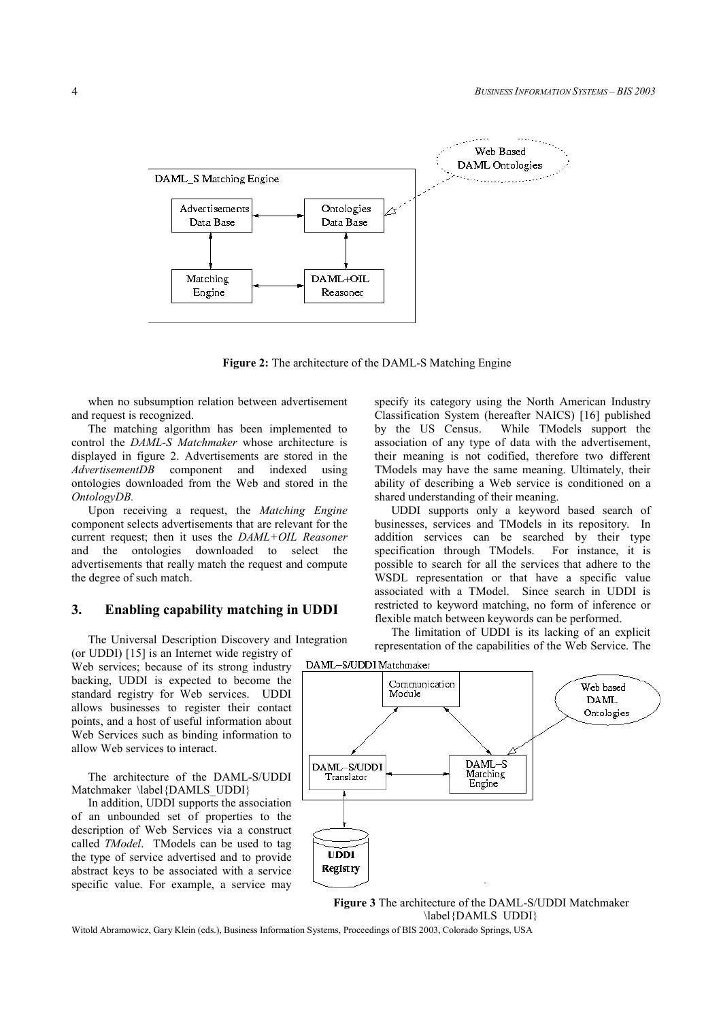

**Figure 2:** The architecture of the DAML-S Matching Engine

when no subsumption relation between advertisement and request is recognized.

The matching algorithm has been implemented to control the *DAML-S Matchmaker* whose architecture is displayed in figure 2. Advertisements are stored in the *AdvertisementDB* component and indexed using ontologies downloaded from the Web and stored in the *OntologyDB.*

Upon receiving a request, the *Matching Engine* component selects advertisements that are relevant for the current request; then it uses the *DAML+OIL Reasoner* and the ontologies downloaded to select the advertisements that really match the request and compute the degree of such match.

### **3. Enabling capability matching in UDDI**

The Universal Description Discovery and Integration (or UDDI) [15] is an Internet wide registry of

Web services; because of its strong industry backing, UDDI is expected to become the standard registry for Web services. UDDI allows businesses to register their contact points, and a host of useful information about Web Services such as binding information to allow Web services to interact.

The architecture of the DAML-S/UDDI Matchmaker \label{DAMLS\_UDDI}

In addition, UDDI supports the association of an unbounded set of properties to the description of Web Services via a construct called *TModel*. TModels can be used to tag the type of service advertised and to provide abstract keys to be associated with a service specific value. For example, a service may

specify its category using the North American Industry Classification System (hereafter NAICS) [16] published by the US Census. While TModels support the association of any type of data with the advertisement, their meaning is not codified, therefore two different TModels may have the same meaning. Ultimately, their ability of describing a Web service is conditioned on a shared understanding of their meaning.

UDDI supports only a keyword based search of businesses, services and TModels in its repository. In addition services can be searched by their type specification through TModels. For instance, it is possible to search for all the services that adhere to the WSDL representation or that have a specific value associated with a TModel. Since search in UDDI is restricted to keyword matching, no form of inference or flexible match between keywords can be performed.

The limitation of UDDI is its lacking of an explicit representation of the capabilities of the Web Service. The



**Figure 3** The architecture of the DAML-S/UDDI Matchmaker \label{DAMLS UDDI}

Witold Abramowicz, Gary Klein (eds.), Business Information Systems, Proceedings of BIS 2003, Colorado Springs, USA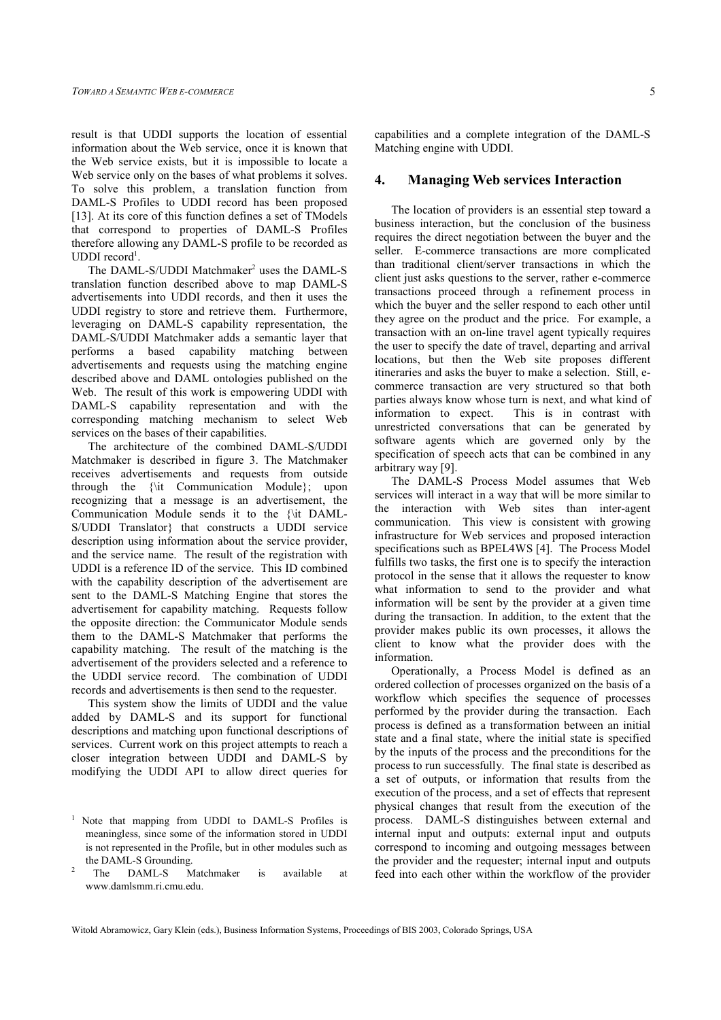result is that UDDI supports the location of essential information about the Web service, once it is known that the Web service exists, but it is impossible to locate a Web service only on the bases of what problems it solves. To solve this problem, a translation function from DAML-S Profiles to UDDI record has been proposed [13]. At its core of this function defines a set of TModels that correspond to properties of DAML-S Profiles therefore allowing any DAML-S profile to be recorded as UDDI record<sup>1</sup>.

The DAML-S/UDDI Matchmaker<sup>2</sup> uses the DAML-S translation function described above to map DAML-S advertisements into UDDI records, and then it uses the UDDI registry to store and retrieve them. Furthermore, leveraging on DAML-S capability representation, the DAML-S/UDDI Matchmaker adds a semantic layer that performs a based capability matching between advertisements and requests using the matching engine described above and DAML ontologies published on the Web. The result of this work is empowering UDDI with DAML-S capability representation and with the corresponding matching mechanism to select Web services on the bases of their capabilities.

The architecture of the combined DAML-S/UDDI Matchmaker is described in figure 3. The Matchmaker receives advertisements and requests from outside through the {\it Communication Module}; upon recognizing that a message is an advertisement, the Communication Module sends it to the {\it DAML-S/UDDI Translator} that constructs a UDDI service description using information about the service provider, and the service name. The result of the registration with UDDI is a reference ID of the service. This ID combined with the capability description of the advertisement are sent to the DAML-S Matching Engine that stores the advertisement for capability matching. Requests follow the opposite direction: the Communicator Module sends them to the DAML-S Matchmaker that performs the capability matching. The result of the matching is the advertisement of the providers selected and a reference to the UDDI service record. The combination of UDDI records and advertisements is then send to the requester.

This system show the limits of UDDI and the value added by DAML-S and its support for functional descriptions and matching upon functional descriptions of services. Current work on this project attempts to reach a closer integration between UDDI and DAML-S by modifying the UDDI API to allow direct queries for

capabilities and a complete integration of the DAML-S Matching engine with UDDI.

### **4. Managing Web services Interaction**

The location of providers is an essential step toward a business interaction, but the conclusion of the business requires the direct negotiation between the buyer and the seller. E-commerce transactions are more complicated than traditional client/server transactions in which the client just asks questions to the server, rather e-commerce transactions proceed through a refinement process in which the buyer and the seller respond to each other until they agree on the product and the price. For example, a transaction with an on-line travel agent typically requires the user to specify the date of travel, departing and arrival locations, but then the Web site proposes different itineraries and asks the buyer to make a selection. Still, ecommerce transaction are very structured so that both parties always know whose turn is next, and what kind of information to expect. This is in contrast with unrestricted conversations that can be generated by software agents which are governed only by the specification of speech acts that can be combined in any arbitrary way [9].

The DAML-S Process Model assumes that Web services will interact in a way that will be more similar to the interaction with Web sites than inter-agent communication. This view is consistent with growing infrastructure for Web services and proposed interaction specifications such as BPEL4WS [4]. The Process Model fulfills two tasks, the first one is to specify the interaction protocol in the sense that it allows the requester to know what information to send to the provider and what information will be sent by the provider at a given time during the transaction. In addition, to the extent that the provider makes public its own processes, it allows the client to know what the provider does with the information.

Operationally, a Process Model is defined as an ordered collection of processes organized on the basis of a workflow which specifies the sequence of processes performed by the provider during the transaction. Each process is defined as a transformation between an initial state and a final state, where the initial state is specified by the inputs of the process and the preconditions for the process to run successfully. The final state is described as a set of outputs, or information that results from the execution of the process, and a set of effects that represent physical changes that result from the execution of the process. DAML-S distinguishes between external and internal input and outputs: external input and outputs correspond to incoming and outgoing messages between the provider and the requester; internal input and outputs feed into each other within the workflow of the provider

<sup>&</sup>lt;sup>1</sup> Note that mapping from UDDI to DAML-S Profiles is meaningless, since some of the information stored in UDDI is not represented in the Profile, but in other modules such as the DAML-S Grounding.<br><sup>2</sup> The DAML-S M

Matchmaker is available at www.damlsmm.ri.cmu.edu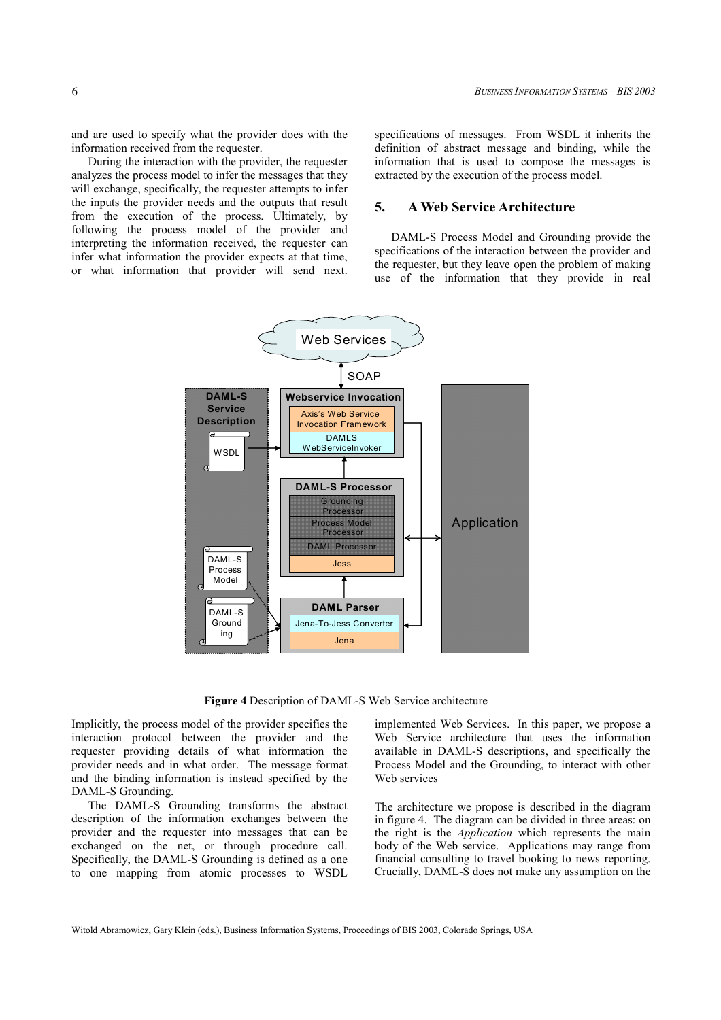and are used to specify what the provider does with the information received from the requester.

During the interaction with the provider, the requester analyzes the process model to infer the messages that they will exchange, specifically, the requester attempts to infer the inputs the provider needs and the outputs that result from the execution of the process. Ultimately, by following the process model of the provider and interpreting the information received, the requester can infer what information the provider expects at that time, or what information that provider will send next.

specifications of messages. From WSDL it inherits the definition of abstract message and binding, while the information that is used to compose the messages is extracted by the execution of the process model.

## **5. A Web Service Architecture**

DAML-S Process Model and Grounding provide the specifications of the interaction between the provider and the requester, but they leave open the problem of making use of the information that they provide in real



**Figure 4** Description of DAML-S Web Service architecture

Implicitly, the process model of the provider specifies the interaction protocol between the provider and the requester providing details of what information the provider needs and in what order. The message format and the binding information is instead specified by the DAML-S Grounding.

The DAML-S Grounding transforms the abstract description of the information exchanges between the provider and the requester into messages that can be exchanged on the net, or through procedure call. Specifically, the DAML-S Grounding is defined as a one to one mapping from atomic processes to WSDL

implemented Web Services. In this paper, we propose a Web Service architecture that uses the information available in DAML-S descriptions, and specifically the Process Model and the Grounding, to interact with other Web services

The architecture we propose is described in the diagram in figure 4. The diagram can be divided in three areas: on the right is the *Application* which represents the main body of the Web service. Applications may range from financial consulting to travel booking to news reporting. Crucially, DAML-S does not make any assumption on the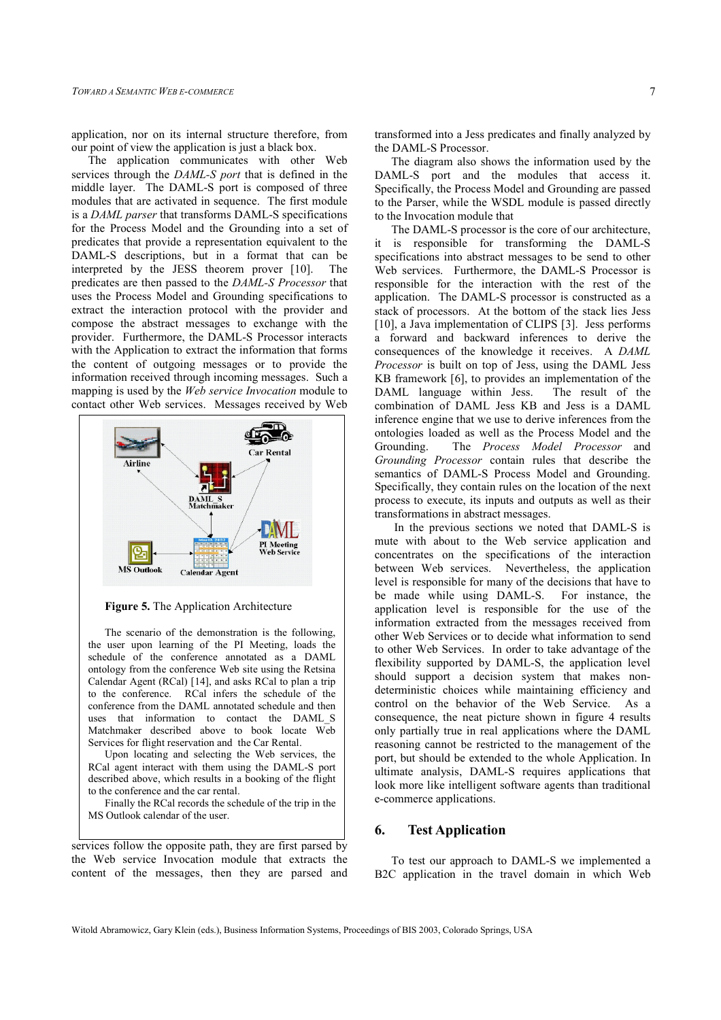application, nor on its internal structure therefore, from our point of view the application is just a black box.

The application communicates with other Web services through the *DAML-S port* that is defined in the middle layer. The DAML-S port is composed of three modules that are activated in sequence. The first module is a *DAML parser* that transforms DAML-S specifications for the Process Model and the Grounding into a set of predicates that provide a representation equivalent to the DAML-S descriptions, but in a format that can be interpreted by the JESS theorem prover [10]. The predicates are then passed to the *DAML-S Processor* that uses the Process Model and Grounding specifications to extract the interaction protocol with the provider and compose the abstract messages to exchange with the provider. Furthermore, the DAML-S Processor interacts with the Application to extract the information that forms the content of outgoing messages or to provide the information received through incoming messages. Such a mapping is used by the *Web service Invocation* module to contact other Web services. Messages received by Web



**Figure 5.** The Application Architecture

The scenario of the demonstration is the following, the user upon learning of the PI Meeting, loads the schedule of the conference annotated as a DAML ontology from the conference Web site using the Retsina Calendar Agent (RCal) [14], and asks RCal to plan a trip to the conference. RCal infers the schedule of the conference from the DAML annotated schedule and then uses that information to contact the DAML\_S Matchmaker described above to book locate Web Services for flight reservation and the Car Rental.

Upon locating and selecting the Web services, the RCal agent interact with them using the DAML-S port described above, which results in a booking of the flight to the conference and the car rental.

Finally the RCal records the schedule of the trip in the MS Outlook calendar of the user.

services follow the opposite path, they are first parsed by the Web service Invocation module that extracts the content of the messages, then they are parsed and

transformed into a Jess predicates and finally analyzed by the DAML-S Processor.

The diagram also shows the information used by the DAML-S port and the modules that access it. Specifically, the Process Model and Grounding are passed to the Parser, while the WSDL module is passed directly to the Invocation module that

The DAML-S processor is the core of our architecture, it is responsible for transforming the DAML-S specifications into abstract messages to be send to other Web services. Furthermore, the DAML-S Processor is responsible for the interaction with the rest of the application. The DAML-S processor is constructed as a stack of processors. At the bottom of the stack lies Jess [10], a Java implementation of CLIPS [3]. Jess performs a forward and backward inferences to derive the consequences of the knowledge it receives. A *DAML Processor* is built on top of Jess, using the DAML Jess KB framework [6], to provides an implementation of the DAML language within Jess. The result of the combination of DAML Jess KB and Jess is a DAML inference engine that we use to derive inferences from the ontologies loaded as well as the Process Model and the Grounding. The *Process Model Processor* and *Grounding Processor* contain rules that describe the semantics of DAML-S Process Model and Grounding. Specifically, they contain rules on the location of the next process to execute, its inputs and outputs as well as their transformations in abstract messages.

 In the previous sections we noted that DAML-S is mute with about to the Web service application and concentrates on the specifications of the interaction between Web services. Nevertheless, the application level is responsible for many of the decisions that have to be made while using DAML-S. For instance, the application level is responsible for the use of the information extracted from the messages received from other Web Services or to decide what information to send to other Web Services. In order to take advantage of the flexibility supported by DAML-S, the application level should support a decision system that makes nondeterministic choices while maintaining efficiency and control on the behavior of the Web Service. As a consequence, the neat picture shown in figure 4 results only partially true in real applications where the DAML reasoning cannot be restricted to the management of the port, but should be extended to the whole Application. In ultimate analysis, DAML-S requires applications that look more like intelligent software agents than traditional e-commerce applications.

### **6. Test Application**

To test our approach to DAML-S we implemented a B2C application in the travel domain in which Web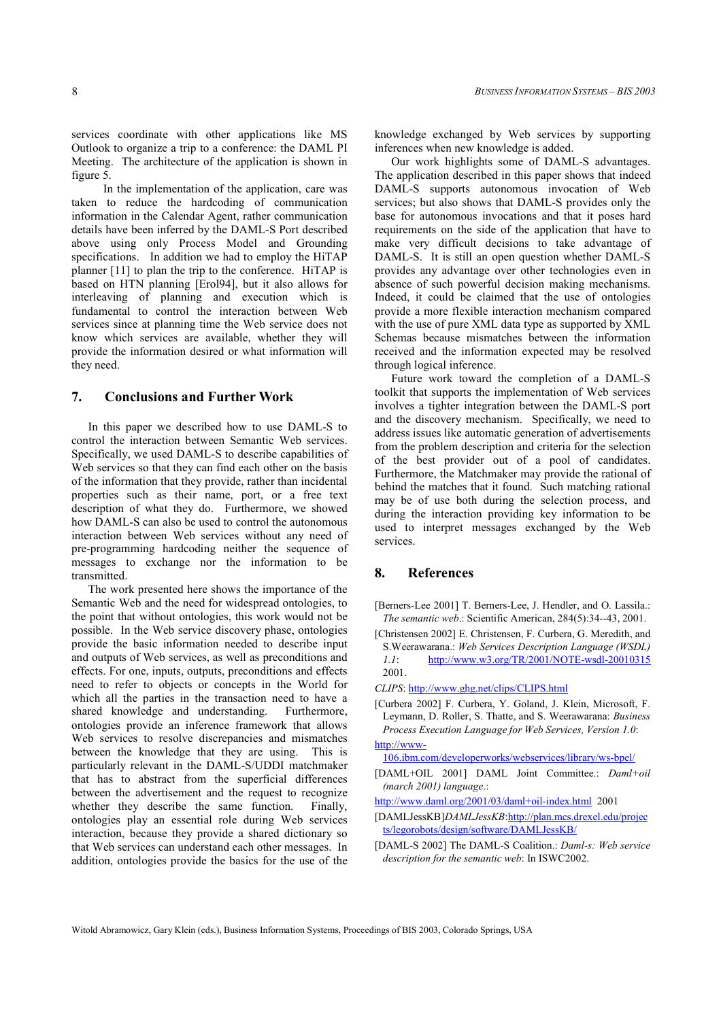In the implementation of the application, care was taken to reduce the hardcoding of communication information in the Calendar Agent, rather communication details have been inferred by the DAML-S Port described above using only Process Model and Grounding specifications. In addition we had to employ the HiTAP planner [11] to plan the trip to the conference. HiTAP is based on HTN planning [Erol94], but it also allows for interleaving of planning and execution which is fundamental to control the interaction between Web services since at planning time the Web service does not know which services are available, whether they will provide the information desired or what information will they need.

#### **7. Conclusions and Further Work**

In this paper we described how to use DAML-S to control the interaction between Semantic Web services. Specifically, we used DAML-S to describe capabilities of Web services so that they can find each other on the basis of the information that they provide, rather than incidental properties such as their name, port, or a free text description of what they do. Furthermore, we showed how DAML-S can also be used to control the autonomous interaction between Web services without any need of pre-programming hardcoding neither the sequence of messages to exchange nor the information to be transmitted.

The work presented here shows the importance of the Semantic Web and the need for widespread ontologies, to the point that without ontologies, this work would not be possible. In the Web service discovery phase, ontologies provide the basic information needed to describe input and outputs of Web services, as well as preconditions and effects. For one, inputs, outputs, preconditions and effects need to refer to objects or concepts in the World for which all the parties in the transaction need to have a shared knowledge and understanding. Furthermore, ontologies provide an inference framework that allows Web services to resolve discrepancies and mismatches between the knowledge that they are using. This is particularly relevant in the DAML-S/UDDI matchmaker that has to abstract from the superficial differences between the advertisement and the request to recognize whether they describe the same function. Finally, ontologies play an essential role during Web services interaction, because they provide a shared dictionary so that Web services can understand each other messages. In addition, ontologies provide the basics for the use of the

knowledge exchanged by Web services by supporting inferences when new knowledge is added.

Our work highlights some of DAML-S advantages. The application described in this paper shows that indeed DAML-S supports autonomous invocation of Web services; but also shows that DAML-S provides only the base for autonomous invocations and that it poses hard requirements on the side of the application that have to make very difficult decisions to take advantage of DAML-S. It is still an open question whether DAML-S provides any advantage over other technologies even in absence of such powerful decision making mechanisms. Indeed, it could be claimed that the use of ontologies provide a more flexible interaction mechanism compared with the use of pure XML data type as supported by XML Schemas because mismatches between the information received and the information expected may be resolved through logical inference.

Future work toward the completion of a DAML-S toolkit that supports the implementation of Web services involves a tighter integration between the DAML-S port and the discovery mechanism. Specifically, we need to address issues like automatic generation of advertisements from the problem description and criteria for the selection of the best provider out of a pool of candidates. Furthermore, the Matchmaker may provide the rational of behind the matches that it found. Such matching rational may be of use both during the selection process, and during the interaction providing key information to be used to interpret messages exchanged by the Web services.

## **8. References**

- [Berners-Lee 2001] T. Berners-Lee, J. Hendler, and O. Lassila.: *The semantic web*.: Scientific American, 284(5):34--43, 2001.
- [Christensen 2002] E. Christensen, F. Curbera, G. Meredith, and S.Weerawarana.: *Web Services Description Language (WSDL) 1.1*: http://www.w3.org/TR/2001/NOTE-wsdl-20010315 2001.
- *CLIPS*: http://www.ghg.net/clips/CLIPS.html
- [Curbera 2002] F. Curbera, Y. Goland, J. Klein, Microsoft, F. Leymann, D. Roller, S. Thatte, and S. Weerawarana: *Business Process Execution Language for Web Services, Version 1.0*: http://www-

106.ibm.com/developerworks/webservices/library/ws-bpel/

[DAML+OIL 2001] DAML Joint Committee.: *Daml+oil (march 2001) language*.:

- [DAMLJessKB]*DAMLJessKB*:http://plan.mcs.drexel.edu/projec ts/legorobots/design/software/DAMLJessKB/
- [DAML-S 2002] The DAML-S Coalition.: *Daml-s: Web service description for the semantic web*: In ISWC2002.

http://www.daml.org/2001/03/daml+oil-index.html 2001